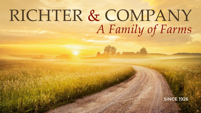# RICHTER & COMPANY A Family of Farms

### **SINCE 1926**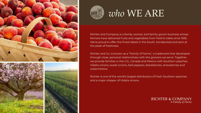





## *who* WE ARE

Richter and Company is a family-owned, and family-grown business whose farmers have delivered fruits and vegetables from field to table since 1926. We're proud to offer the finest labels in the South, handpicked and sent at the peak of freshness.

Richter and Co. is known as a "Family of Farms," a trademark that developed through close, personal relationships with the growers we serve. Together, we provide families in the U.S., Canada and Mexico with Southern peaches, Vidalia onions, sweet onions, bell peppers, blackberries, strawberries and watermelons.

Richter is one of the world's largest distributors of fresh Southern peaches and a major shipper of Vidalia onions.

> **RICHTER & COMPANY** A Family of Farms

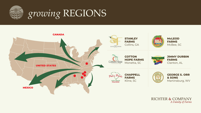

# *growing* REGIONS





**McLEOD FARMS** McBee, SC

**JIMMY DURBIN FARMS** Clanton, AL

**GEORGE S. ORR & SONS** Martinsburg, WV

### **RICHTER & COMPANY** A Family of Farms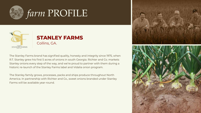



The Stanley Farms brand has signified quality, honesty and integrity since 1975, when R.T. Stanley grew his first 5 acres of onions in south Georgia. Richter and Co. markets Stanley onions every step of the way, and we're proud to partner with them during a historic re-launch of the Stanley Farms label and Vidalia onion program.

The Stanley family grows, processes, packs and ships produce throughout North America. In partnership with Richter and Co., sweet onions branded under Stanley Farms will be available year-round.



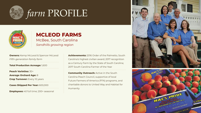

## *farm* PROFILE



## **MCLEOD FARMS** McBee, South Carolina

*Sandhills growing region*

**Peach Varieties:** 30+ **Average Orchard Age:** 8 **Crop Turnover: Every 10 years** 

**Owners:** Kemp McLeod & Spencer McLeod *Fifth-generation family farm*

**Total Production Acreage:** 1,600

**Cases Shipped Per Year:** 600,000

**Employees:** 40 full time; 200+ seasonal

**Community Outreach:** Active in the South Carolina Peach Council, supportive of local Future Farmers of America (FFA) programs, and charitable donors to United Way and Habitat for Humanity





**Achievements:** 2016 Order of the Palmetto, South Carolina's highest civilian award; 2017 recognition as a Century Farm by the State of South Carolina; 2017 South Carolina Farmer of the Year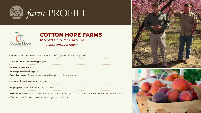



## **COTTON HOPE FARMS**

Monetta, South Carolina

*The Ridge growing region*

| <b>Owners:</b> Tristan DuBose & Al DuBose · Fifth-generation family farm                                 |
|----------------------------------------------------------------------------------------------------------|
| <b>Total Production Acreage: 1,800</b>                                                                   |
| <b>Peach Varieties: 40+</b>                                                                              |
| <b>Average Orchard Age: 9</b>                                                                            |
| <b>Crop Turnover:</b> Every 14 years or when productionlevels drop                                       |
| <b>Cases Shipped Per Year: 700,000</b>                                                                   |
| <b>Employees:</b> 20 full time; 200+ seasonal                                                            |
| <b>Affiliations:</b> Members of the National Peach Council, South Carolina Peach Council, Future Farmers |

of America (FFA) and the Clemson Agricultural Extension





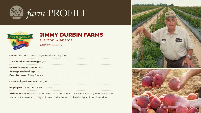

## *farm* PROFILE



## **JIMMY DURBIN FARMS**

Clanton, Alabama *Chilton County*

**Owner:** Tim Minor • *Fourth-generation family farm* **Total Production Acreage:** 1,200 **Peach Varieties Grown:** 25+ **Average Orchard Age:** 12 **Crop Turnover: Every 6 Years Cases Shipped Per Year:** 200,000 **Employees:** 15 full time; 100+ seasonal

**Affiliations:** Named *Southern Living* magazine's "Best Peach in Alabama"; members of the Alabama Department of Agriculture and the Auburn University Agricultural Extension



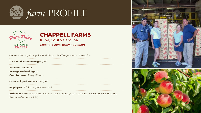



### **CHAPPELL FARMS** Kline, South Carolina *Coastal Plains growing region*

**Owners:** Tommy Chappell & Bud Chappell • *Fifth-generation family farm* **Total Production Acreage:** 1,000 **Varieties Grown:** 25 **Average Orchard Age:** 10 **Crop Turnover: Every 12 Years Cases Shipped Per Year:** 200,000 **Employees:** 8 full time; 100+ seasonal

**Affiliations:** Members of the National Peach Council, South Carolina Peach Council and Future Farmers of America (FFA)





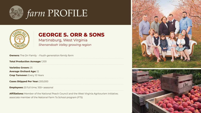



## **GEORGE S. ORR & SONS**

Martinsburg, West Virginia *Shenandoah Valley growing region*

| <b>Owners:</b> The Orr Family $\cdot$ Fouth-generation family farm                                   |
|------------------------------------------------------------------------------------------------------|
| <b>Total Production Acreage: 1,100</b>                                                               |
| <b>Varieties Grown: 25</b><br><b>Average Orchard Age: 12</b><br><b>Crop Turnover: Every 10 Years</b> |
| <b>Cases Shipped Per Year: 200,000</b>                                                               |
| <b>Employees:</b> 20 full time; 100+ seasonal                                                        |

**Affiliations:** Member of the National Peach Council and the West Virginia Agritourism Initiative; associate member of the National Farm To School program (FTS)





. . . . . . . . . . . . . .

. . . . . . . . . . . . . .

. . . . . . . . . . . . . .

. . . . . . . . . . . . . .

and a contract of the contract of the

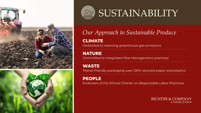





# SUSTAINABILITY

*Our Approach to Sustainable Produce*

## **CLIMATE**

*Dedicated to reducing greenhouse gas emissions*

## **NATURE**

*Committed to Integrated Pest Management practices* 

## **WASTE**

*Planet-friendly packaging uses 100% recycled paper and plastics*

## **PEOPLE**

*Endorsers of the Ethical Charter on Responsible Labor Practices*

### **RICHTER & COMPANY** A Family of Farms